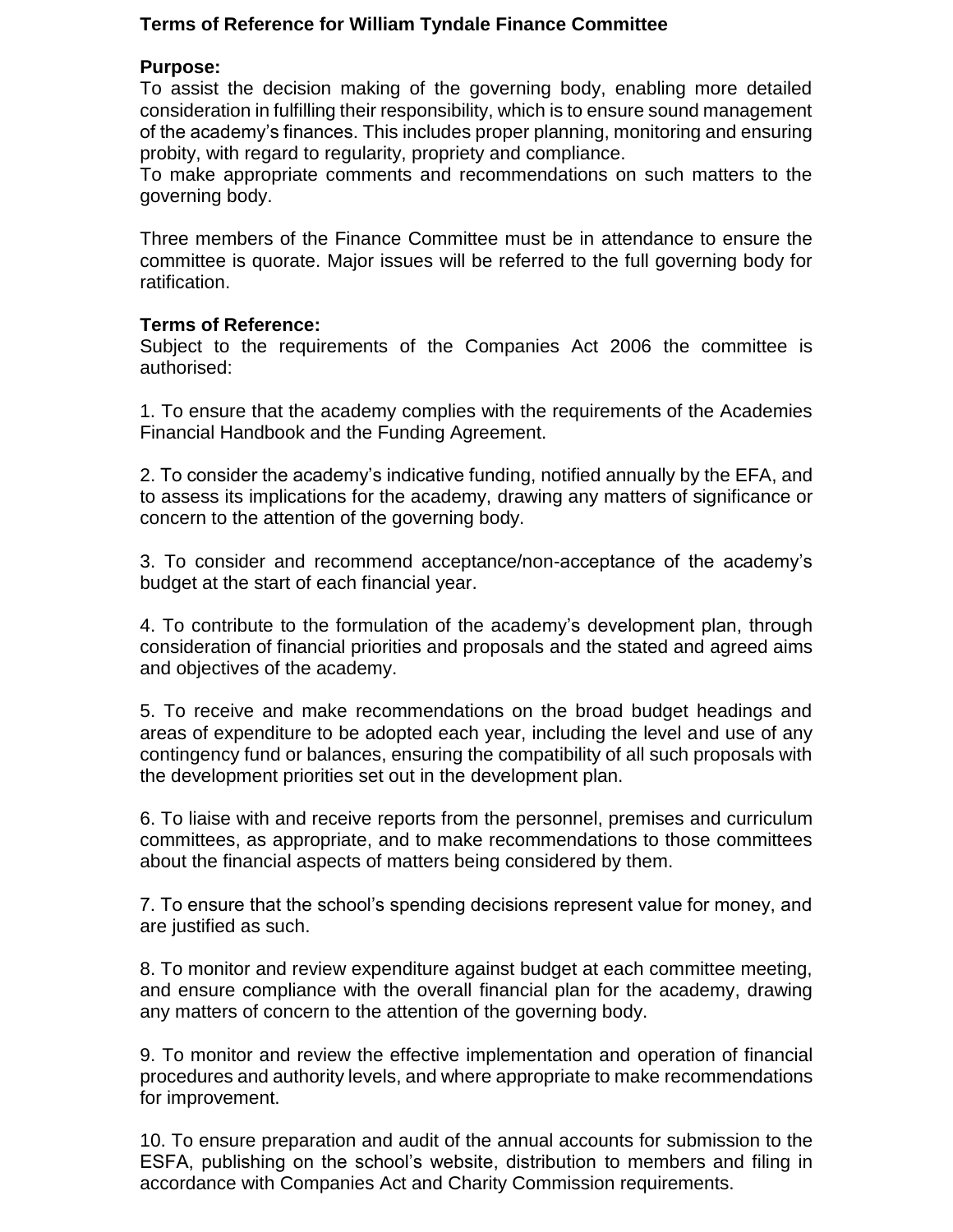# **Terms of Reference for William Tyndale Finance Committee**

#### **Purpose:**

To assist the decision making of the governing body, enabling more detailed consideration in fulfilling their responsibility, which is to ensure sound management of the academy's finances. This includes proper planning, monitoring and ensuring probity, with regard to regularity, propriety and compliance.

To make appropriate comments and recommendations on such matters to the governing body.

Three members of the Finance Committee must be in attendance to ensure the committee is quorate. Major issues will be referred to the full governing body for ratification.

### **Terms of Reference:**

Subject to the requirements of the Companies Act 2006 the committee is authorised:

1. To ensure that the academy complies with the requirements of the Academies Financial Handbook and the Funding Agreement.

2. To consider the academy's indicative funding, notified annually by the EFA, and to assess its implications for the academy, drawing any matters of significance or concern to the attention of the governing body.

3. To consider and recommend acceptance/non-acceptance of the academy's budget at the start of each financial year.

4. To contribute to the formulation of the academy's development plan, through consideration of financial priorities and proposals and the stated and agreed aims and objectives of the academy.

5. To receive and make recommendations on the broad budget headings and areas of expenditure to be adopted each year, including the level and use of any contingency fund or balances, ensuring the compatibility of all such proposals with the development priorities set out in the development plan.

6. To liaise with and receive reports from the personnel, premises and curriculum committees, as appropriate, and to make recommendations to those committees about the financial aspects of matters being considered by them.

7. To ensure that the school's spending decisions represent value for money, and are justified as such.

8. To monitor and review expenditure against budget at each committee meeting, and ensure compliance with the overall financial plan for the academy, drawing any matters of concern to the attention of the governing body.

9. To monitor and review the effective implementation and operation of financial procedures and authority levels, and where appropriate to make recommendations for improvement.

10. To ensure preparation and audit of the annual accounts for submission to the ESFA, publishing on the school's website, distribution to members and filing in accordance with Companies Act and Charity Commission requirements.